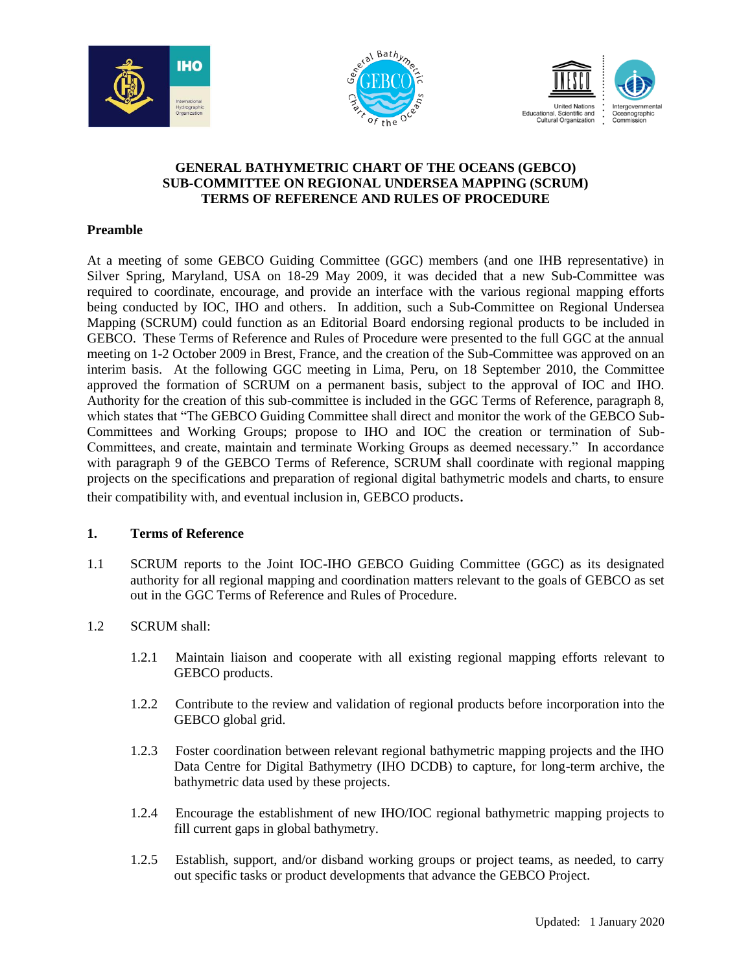





### **GENERAL BATHYMETRIC CHART OF THE OCEANS (GEBCO) SUB-COMMITTEE ON REGIONAL UNDERSEA MAPPING (SCRUM)** **TERMS OF REFERENCE AND RULES OF PROCEDURE**

### **Preamble**

At a meeting of some GEBCO Guiding Committee (GGC) members (and one IHB representative) in Silver Spring, Maryland, USA on 18-29 May 2009, it was decided that a new Sub-Committee was required to coordinate, encourage, and provide an interface with the various regional mapping efforts being conducted by IOC, IHO and others. In addition, such a Sub-Committee on Regional Undersea Mapping (SCRUM) could function as an Editorial Board endorsing regional products to be included in GEBCO. These Terms of Reference and Rules of Procedure were presented to the full GGC at the annual meeting on 1-2 October 2009 in Brest, France, and the creation of the Sub-Committee was approved on an interim basis. At the following GGC meeting in Lima, Peru, on 18 September 2010, the Committee approved the formation of SCRUM on a permanent basis, subject to the approval of IOC and IHO. Authority for the creation of this sub-committee is included in the GGC Terms of Reference, paragraph 8, which states that "The GEBCO Guiding Committee shall direct and monitor the work of the GEBCO Sub-Committees and Working Groups; propose to IHO and IOC the creation or termination of Sub-Committees, and create, maintain and terminate Working Groups as deemed necessary." In accordance with paragraph 9 of the GEBCO Terms of Reference, SCRUM shall coordinate with regional mapping projects on the specifications and preparation of regional digital bathymetric models and charts, to ensure their compatibility with, and eventual inclusion in, GEBCO products.

#### **1. Terms of Reference**

1.1 SCRUM reports to the Joint IOC-IHO GEBCO Guiding Committee (GGC) as its designated authority for all regional mapping and coordination matters relevant to the goals of GEBCO as set out in the GGC Terms of Reference and Rules of Procedure.

# 1.2 SCRUM shall:

- 1.2.1 Maintain liaison and cooperate with all existing regional mapping efforts relevant to GEBCO products.
- 1.2.2 Contribute to the review and validation of regional products before incorporation into the GEBCO global grid.
- 1.2.3 Foster coordination between relevant regional bathymetric mapping projects and the IHO Data Centre for Digital Bathymetry (IHO DCDB) to capture, for long-term archive, the bathymetric data used by these projects.
- 1.2.4 Encourage the establishment of new IHO/IOC regional bathymetric mapping projects to fill current gaps in global bathymetry.
- 1.2.5 Establish, support, and/or disband working groups or project teams, as needed, to carry out specific tasks or product developments that advance the GEBCO Project.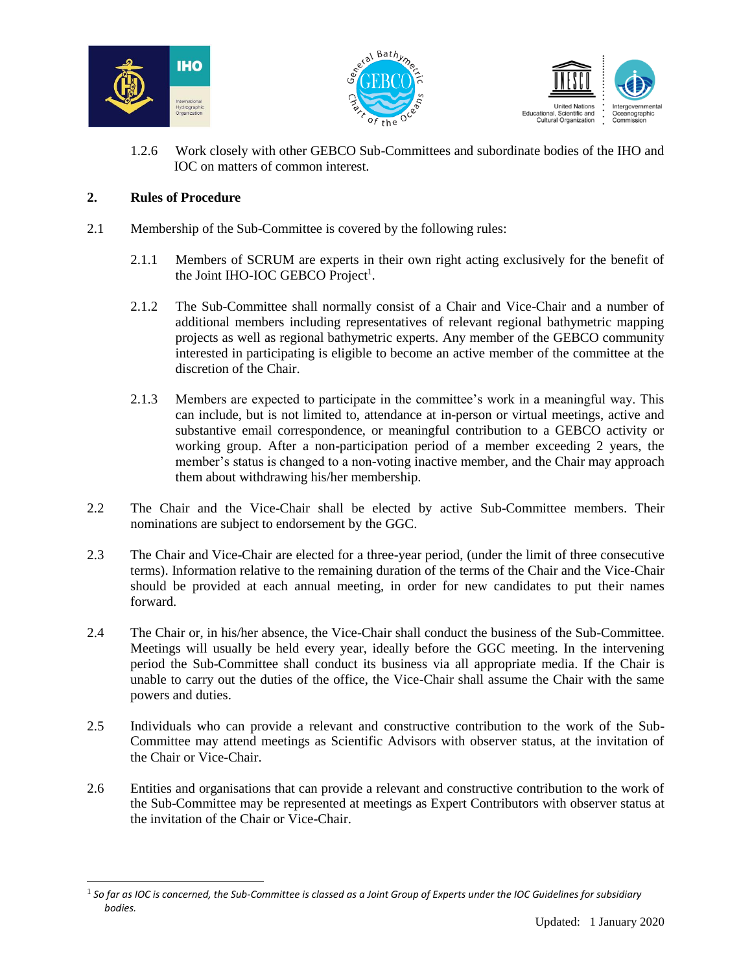





1.2.6 Work closely with other GEBCO Sub-Committees and subordinate bodies of the IHO and IOC on matters of common interest.

# **2. Rules of Procedure**

 $\overline{a}$ 

- 2.1 Membership of the Sub-Committee is covered by the following rules:
	- 2.1.1 Members of SCRUM are experts in their own right acting exclusively for the benefit of the Joint IHO-IOC GEBCO Project<sup>1</sup>.
	- 2.1.2 The Sub-Committee shall normally consist of a Chair and Vice-Chair and a number of additional members including representatives of relevant regional bathymetric mapping projects as well as regional bathymetric experts. Any member of the GEBCO community interested in participating is eligible to become an active member of the committee at the discretion of the Chair.
	- 2.1.3 Members are expected to participate in the committee's work in a meaningful way. This can include, but is not limited to, attendance at in-person or virtual meetings, active and substantive email correspondence, or meaningful contribution to a GEBCO activity or working group. After a non-participation period of a member exceeding 2 years, the member's status is changed to a non-voting inactive member, and the Chair may approach them about withdrawing his/her membership.
- 2.2 The Chair and the Vice-Chair shall be elected by active Sub-Committee members. Their nominations are subject to endorsement by the GGC.
- 2.3 The Chair and Vice-Chair are elected for a three-year period, (under the limit of three consecutive terms). Information relative to the remaining duration of the terms of the Chair and the Vice-Chair should be provided at each annual meeting, in order for new candidates to put their names forward.
- 2.4 The Chair or, in his/her absence, the Vice-Chair shall conduct the business of the Sub-Committee. Meetings will usually be held every year, ideally before the GGC meeting. In the intervening period the Sub-Committee shall conduct its business via all appropriate media. If the Chair is unable to carry out the duties of the office, the Vice-Chair shall assume the Chair with the same powers and duties.
- 2.5 Individuals who can provide a relevant and constructive contribution to the work of the Sub-Committee may attend meetings as Scientific Advisors with observer status, at the invitation of the Chair or Vice-Chair.
- 2.6 Entities and organisations that can provide a relevant and constructive contribution to the work of the Sub-Committee may be represented at meetings as Expert Contributors with observer status at the invitation of the Chair or Vice-Chair.

 $^{\rm 1}$  So far as IOC is concerned, the Sub-Committee is classed as a Joint Group of Experts under the IOC Guidelines for subsidiary *bodies.*